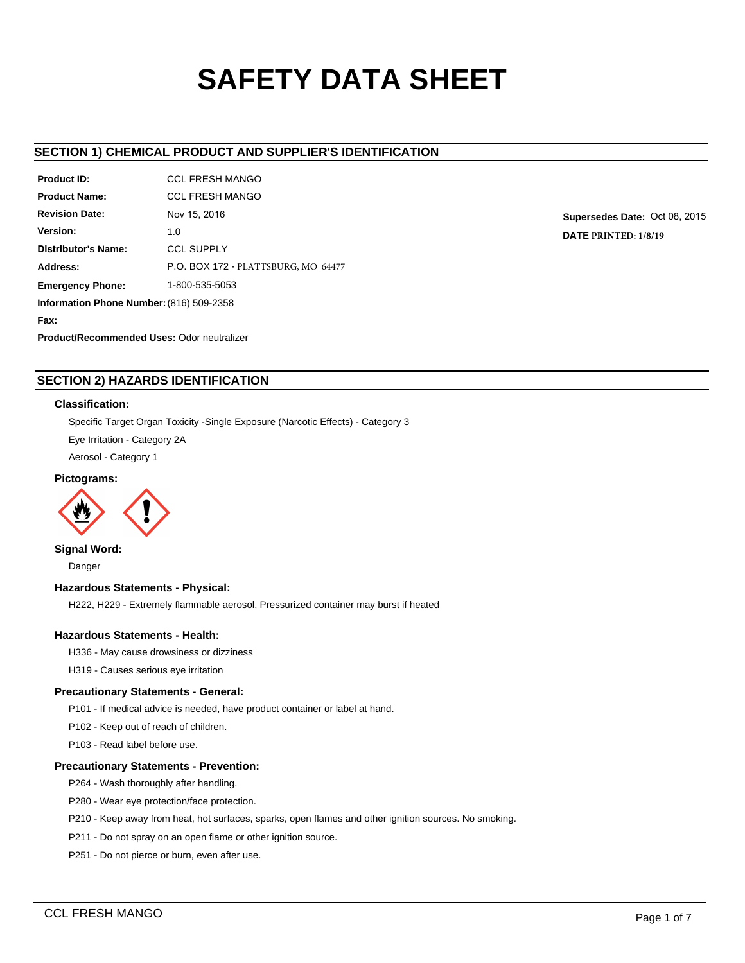# **SAFETY DATA SHEET**

# **SECTION 1) CHEMICAL PRODUCT AND SUPPLIER'S IDENTIFICATION**

| Product ID:                                       | <b>CCL FRESH MANGO</b>              |  |  |  |
|---------------------------------------------------|-------------------------------------|--|--|--|
| <b>Product Name:</b>                              | <b>CCL FRESH MANGO</b>              |  |  |  |
| <b>Revision Date:</b>                             | Nov 15, 2016                        |  |  |  |
| Version:                                          | 1.0                                 |  |  |  |
| <b>Distributor's Name:</b>                        | <b>CCL SUPPLY</b>                   |  |  |  |
| Address:                                          | P.O. BOX 172 - PLATTSBURG, MO 64477 |  |  |  |
| <b>Emergency Phone:</b>                           | 1-800-535-5053                      |  |  |  |
| Information Phone Number: (816) 509-2358          |                                     |  |  |  |
| Fax:                                              |                                     |  |  |  |
| <b>Product/Recommended Uses: Odor neutralizer</b> |                                     |  |  |  |

**Supersedes Date:** Oct 08, 2015 **DATE PRINTED: 1/8/19**

# **SECTION 2) HAZARDS IDENTIFICATION**

# **Classification:**

Specific Target Organ Toxicity -Single Exposure (Narcotic Effects) - Category 3

Eye Irritation - Category 2A

Aerosol - Category 1

# **Pictograms:**



# **Signal Word:**

Danger

# **Hazardous Statements - Physical:**

H222, H229 - Extremely flammable aerosol, Pressurized container may burst if heated

# **Hazardous Statements - Health:**

H336 - May cause drowsiness or dizziness

H319 - Causes serious eye irritation

# **Precautionary Statements - General:**

P101 - If medical advice is needed, have product container or label at hand.

P102 - Keep out of reach of children.

P103 - Read label before use.

# **Precautionary Statements - Prevention:**

P264 - Wash thoroughly after handling.

P280 - Wear eye protection/face protection.

P210 - Keep away from heat, hot surfaces, sparks, open flames and other ignition sources. No smoking.

P211 - Do not spray on an open flame or other ignition source.

P251 - Do not pierce or burn, even after use.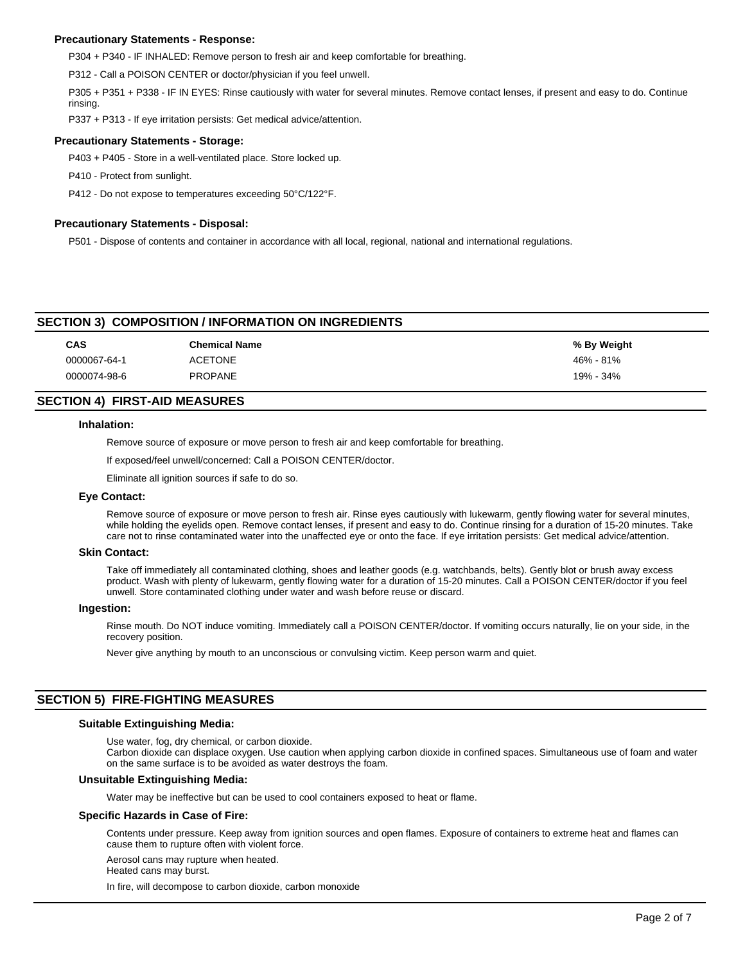# **Precautionary Statements - Response:**

P304 + P340 - IF INHALED: Remove person to fresh air and keep comfortable for breathing.

P312 - Call a POISON CENTER or doctor/physician if you feel unwell.

P305 + P351 + P338 - IF IN EYES: Rinse cautiously with water for several minutes. Remove contact lenses, if present and easy to do. Continue rinsing.

P337 + P313 - If eye irritation persists: Get medical advice/attention.

### **Precautionary Statements - Storage:**

P403 + P405 - Store in a well-ventilated place. Store locked up.

P410 - Protect from sunlight.

P412 - Do not expose to temperatures exceeding 50°C/122°F.

# **Precautionary Statements - Disposal:**

P501 - Dispose of contents and container in accordance with all local, regional, national and international regulations.

# **SECTION 3) COMPOSITION / INFORMATION ON INGREDIENTS**

| <b>CAS</b>   | <b>Chemical Name</b> | % By Weight |
|--------------|----------------------|-------------|
| 0000067-64-1 | <b>ACETONE</b>       | 46% - 81%   |
| 0000074-98-6 | <b>PROPANE</b>       | 19% - 34%   |

# **SECTION 4) FIRST-AID MEASURES**

### **Inhalation:**

Remove source of exposure or move person to fresh air and keep comfortable for breathing.

If exposed/feel unwell/concerned: Call a POISON CENTER/doctor.

Eliminate all ignition sources if safe to do so.

### **Eye Contact:**

Remove source of exposure or move person to fresh air. Rinse eyes cautiously with lukewarm, gently flowing water for several minutes, while holding the eyelids open. Remove contact lenses, if present and easy to do. Continue rinsing for a duration of 15-20 minutes. Take care not to rinse contaminated water into the unaffected eye or onto the face. If eye irritation persists: Get medical advice/attention.

### **Skin Contact:**

Take off immediately all contaminated clothing, shoes and leather goods (e.g. watchbands, belts). Gently blot or brush away excess product. Wash with plenty of lukewarm, gently flowing water for a duration of 15-20 minutes. Call a POISON CENTER/doctor if you feel unwell. Store contaminated clothing under water and wash before reuse or discard.

### **Ingestion:**

Rinse mouth. Do NOT induce vomiting. Immediately call a POISON CENTER/doctor. If vomiting occurs naturally, lie on your side, in the recovery position.

Never give anything by mouth to an unconscious or convulsing victim. Keep person warm and quiet.

# **SECTION 5) FIRE-FIGHTING MEASURES**

### **Suitable Extinguishing Media:**

Use water, fog, dry chemical, or carbon dioxide.

Carbon dioxide can displace oxygen. Use caution when applying carbon dioxide in confined spaces. Simultaneous use of foam and water on the same surface is to be avoided as water destroys the foam.

### **Unsuitable Extinguishing Media:**

Water may be ineffective but can be used to cool containers exposed to heat or flame.

### **Specific Hazards in Case of Fire:**

Contents under pressure. Keep away from ignition sources and open flames. Exposure of containers to extreme heat and flames can cause them to rupture often with violent force.

Aerosol cans may rupture when heated. Heated cans may burst.

In fire, will decompose to carbon dioxide, carbon monoxide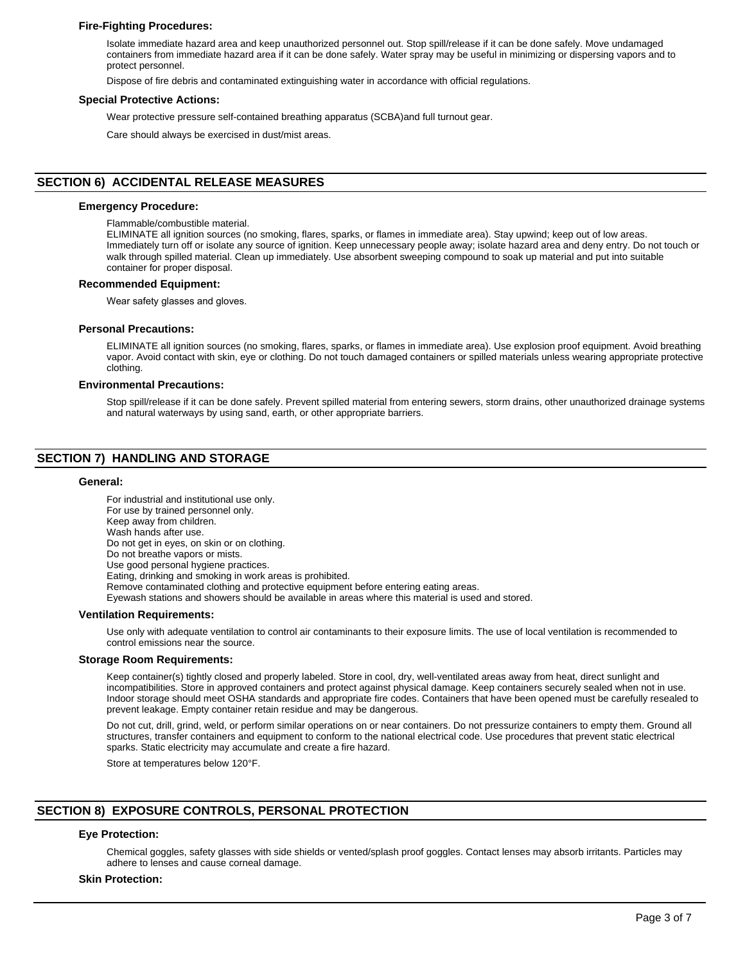# **Fire-Fighting Procedures:**

Isolate immediate hazard area and keep unauthorized personnel out. Stop spill/release if it can be done safely. Move undamaged containers from immediate hazard area if it can be done safely. Water spray may be useful in minimizing or dispersing vapors and to protect personnel.

Dispose of fire debris and contaminated extinguishing water in accordance with official regulations.

### **Special Protective Actions:**

Wear protective pressure self-contained breathing apparatus (SCBA)and full turnout gear.

Care should always be exercised in dust/mist areas.

# **SECTION 6) ACCIDENTAL RELEASE MEASURES**

### **Emergency Procedure:**

Flammable/combustible material.

ELIMINATE all ignition sources (no smoking, flares, sparks, or flames in immediate area). Stay upwind; keep out of low areas. Immediately turn off or isolate any source of ignition. Keep unnecessary people away; isolate hazard area and deny entry. Do not touch or walk through spilled material. Clean up immediately. Use absorbent sweeping compound to soak up material and put into suitable container for proper disposal.

### **Recommended Equipment:**

Wear safety glasses and gloves.

#### **Personal Precautions:**

ELIMINATE all ignition sources (no smoking, flares, sparks, or flames in immediate area). Use explosion proof equipment. Avoid breathing vapor. Avoid contact with skin, eye or clothing. Do not touch damaged containers or spilled materials unless wearing appropriate protective clothing.

#### **Environmental Precautions:**

Stop spill/release if it can be done safely. Prevent spilled material from entering sewers, storm drains, other unauthorized drainage systems and natural waterways by using sand, earth, or other appropriate barriers.

# **SECTION 7) HANDLING AND STORAGE**

### **General:**

For industrial and institutional use only. For use by trained personnel only. Keep away from children. Wash hands after use. Do not get in eyes, on skin or on clothing. Do not breathe vapors or mists. Use good personal hygiene practices. Eating, drinking and smoking in work areas is prohibited. Remove contaminated clothing and protective equipment before entering eating areas. Eyewash stations and showers should be available in areas where this material is used and stored. **Ventilation Requirements:**

Use only with adequate ventilation to control air contaminants to their exposure limits. The use of local ventilation is recommended to control emissions near the source.

### **Storage Room Requirements:**

Keep container(s) tightly closed and properly labeled. Store in cool, dry, well-ventilated areas away from heat, direct sunlight and incompatibilities. Store in approved containers and protect against physical damage. Keep containers securely sealed when not in use. Indoor storage should meet OSHA standards and appropriate fire codes. Containers that have been opened must be carefully resealed to prevent leakage. Empty container retain residue and may be dangerous.

Do not cut, drill, grind, weld, or perform similar operations on or near containers. Do not pressurize containers to empty them. Ground all structures, transfer containers and equipment to conform to the national electrical code. Use procedures that prevent static electrical sparks. Static electricity may accumulate and create a fire hazard.

Store at temperatures below 120°F.

# **SECTION 8) EXPOSURE CONTROLS, PERSONAL PROTECTION**

# **Eye Protection:**

Chemical goggles, safety glasses with side shields or vented/splash proof goggles. Contact lenses may absorb irritants. Particles may adhere to lenses and cause corneal damage.

#### **Skin Protection:**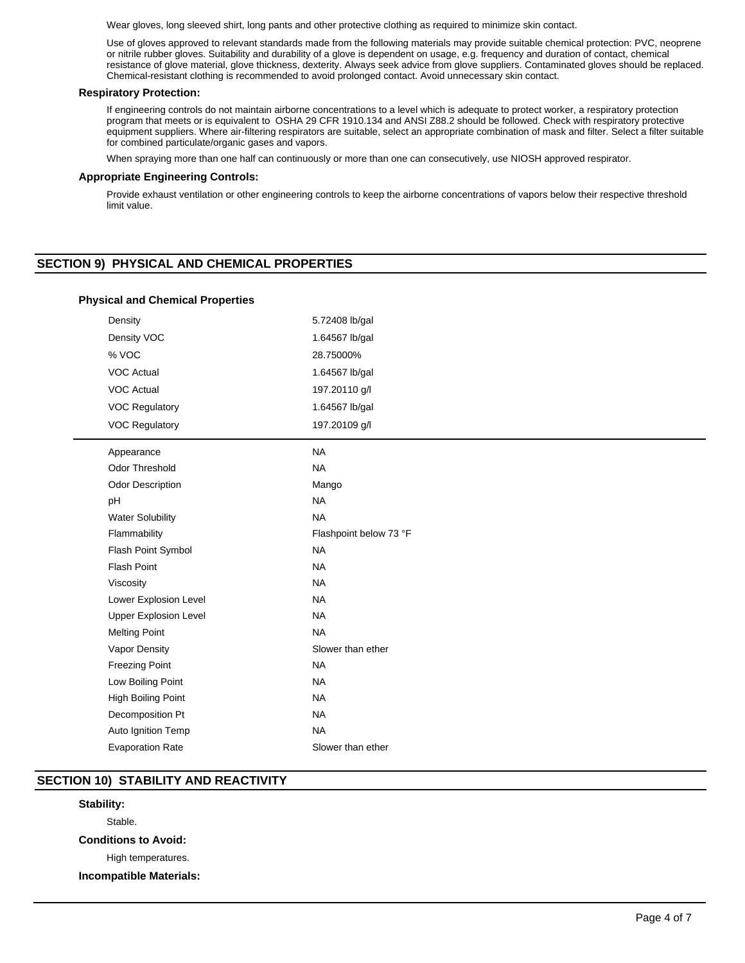Wear gloves, long sleeved shirt, long pants and other protective clothing as required to minimize skin contact.

Use of gloves approved to relevant standards made from the following materials may provide suitable chemical protection: PVC, neoprene or nitrile rubber gloves. Suitability and durability of a glove is dependent on usage, e.g. frequency and duration of contact, chemical resistance of glove material, glove thickness, dexterity. Always seek advice from glove suppliers. Contaminated gloves should be replaced. Chemical-resistant clothing is recommended to avoid prolonged contact. Avoid unnecessary skin contact.

# **Respiratory Protection:**

If engineering controls do not maintain airborne concentrations to a level which is adequate to protect worker, a respiratory protection program that meets or is equivalent to OSHA 29 CFR 1910.134 and ANSI Z88.2 should be followed. Check with respiratory protective equipment suppliers. Where air-filtering respirators are suitable, select an appropriate combination of mask and filter. Select a filter suitable for combined particulate/organic gases and vapors.

When spraying more than one half can continuously or more than one can consecutively, use NIOSH approved respirator.

# **Appropriate Engineering Controls:**

Provide exhaust ventilation or other engineering controls to keep the airborne concentrations of vapors below their respective threshold limit value.

# **SECTION 9) PHYSICAL AND CHEMICAL PROPERTIES**

| Density                      | 5.72408 lb/gal         |  |  |
|------------------------------|------------------------|--|--|
| Density VOC                  | 1.64567 lb/gal         |  |  |
| % VOC                        | 28.75000%              |  |  |
| <b>VOC Actual</b>            | 1.64567 lb/gal         |  |  |
| <b>VOC Actual</b>            | 197.20110 g/l          |  |  |
| <b>VOC Regulatory</b>        | 1.64567 lb/gal         |  |  |
| <b>VOC Regulatory</b>        | 197.20109 g/l          |  |  |
| Appearance                   | <b>NA</b>              |  |  |
| Odor Threshold               | <b>NA</b>              |  |  |
| <b>Odor Description</b>      | Mango                  |  |  |
| pH                           | <b>NA</b>              |  |  |
| <b>Water Solubility</b>      | <b>NA</b>              |  |  |
| Flammability                 | Flashpoint below 73 °F |  |  |
| Flash Point Symbol           | <b>NA</b>              |  |  |
| <b>Flash Point</b>           | <b>NA</b>              |  |  |
| Viscosity                    | <b>NA</b>              |  |  |
| Lower Explosion Level        | <b>NA</b>              |  |  |
| <b>Upper Explosion Level</b> | <b>NA</b>              |  |  |
| <b>Melting Point</b>         | <b>NA</b>              |  |  |
| Vapor Density                | Slower than ether      |  |  |
| <b>Freezing Point</b>        | <b>NA</b>              |  |  |
| Low Boiling Point            | <b>NA</b>              |  |  |
| High Boiling Point           | <b>NA</b>              |  |  |
| Decomposition Pt             | <b>NA</b>              |  |  |
| Auto Ignition Temp           | <b>NA</b>              |  |  |
| <b>Evaporation Rate</b>      | Slower than ether      |  |  |

### **Physical and Chemical Properties**

# **SECTION 10) STABILITY AND REACTIVITY**

# **Stability:**

Stable.

**Conditions to Avoid:**

High temperatures.

**Incompatible Materials:**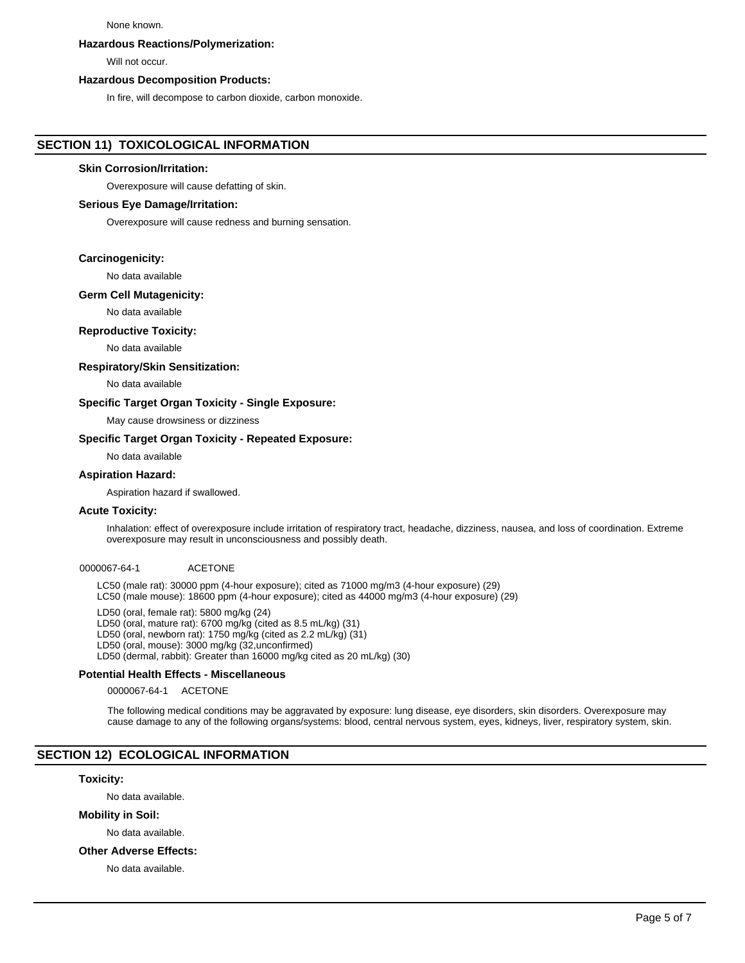### None known.

### **Hazardous Reactions/Polymerization:**

Will not occur.

# **Hazardous Decomposition Products:**

In fire, will decompose to carbon dioxide, carbon monoxide.

# **SECTION 11) TOXICOLOGICAL INFORMATION**

### **Skin Corrosion/Irritation:**

Overexposure will cause defatting of skin.

### **Serious Eye Damage/Irritation:**

Overexposure will cause redness and burning sensation.

### **Carcinogenicity:**

No data available

### **Germ Cell Mutagenicity:**

No data available

## **Reproductive Toxicity:**

No data available

## **Respiratory/Skin Sensitization:**

No data available

### **Specific Target Organ Toxicity - Single Exposure:**

May cause drowsiness or dizziness

# **Specific Target Organ Toxicity - Repeated Exposure:**

No data available

# **Aspiration Hazard:**

Aspiration hazard if swallowed.

### **Acute Toxicity:**

Inhalation: effect of overexposure include irritation of respiratory tract, headache, dizziness, nausea, and loss of coordination. Extreme overexposure may result in unconsciousness and possibly death.

### 0000067-64-1 ACETONE

LC50 (male rat): 30000 ppm (4-hour exposure); cited as 71000 mg/m3 (4-hour exposure) (29) LC50 (male mouse): 18600 ppm (4-hour exposure); cited as 44000 mg/m3 (4-hour exposure) (29)

LD50 (oral, female rat): 5800 mg/kg (24) LD50 (oral, mature rat): 6700 mg/kg (cited as 8.5 mL/kg) (31) LD50 (oral, newborn rat): 1750 mg/kg (cited as 2.2 mL/kg) (31) LD50 (oral, mouse): 3000 mg/kg (32,unconfirmed) LD50 (dermal, rabbit): Greater than 16000 mg/kg cited as 20 mL/kg) (30)

# **Potential Health Effects - Miscellaneous**

0000067-64-1 ACETONE

The following medical conditions may be aggravated by exposure: lung disease, eye disorders, skin disorders. Overexposure may cause damage to any of the following organs/systems: blood, central nervous system, eyes, kidneys, liver, respiratory system, skin.

# **SECTION 12) ECOLOGICAL INFORMATION**

### **Toxicity:**

No data available.

# **Mobility in Soil:**

No data available.

### **Other Adverse Effects:**

No data available.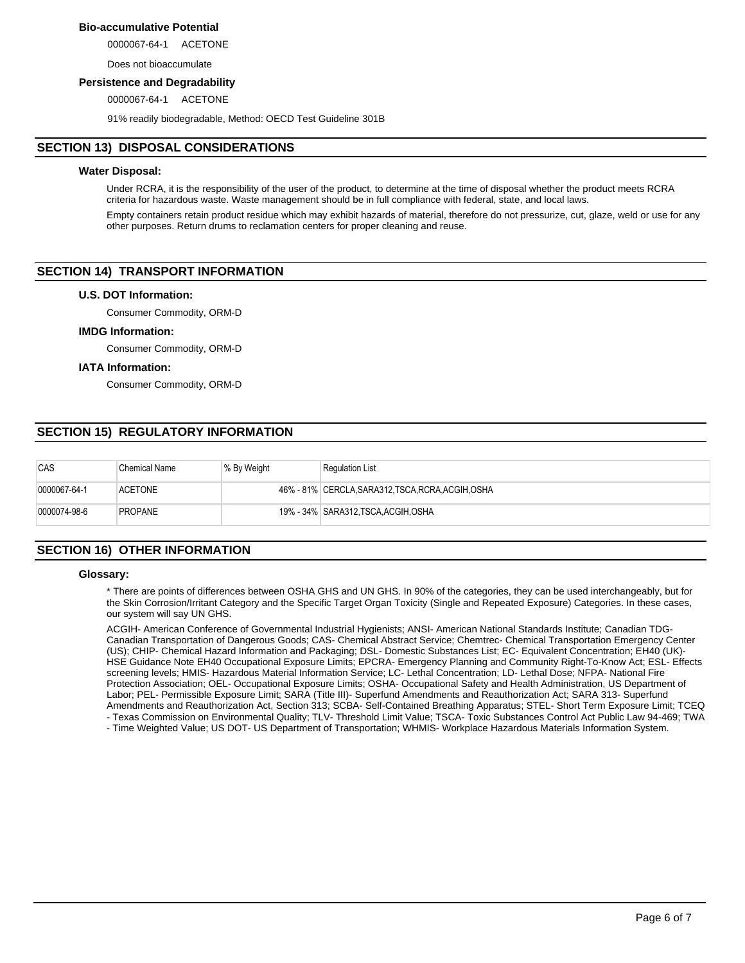# **Bio-accumulative Potential**

0000067-64-1 ACETONE

Does not bioaccumulate

### **Persistence and Degradability**

0000067-64-1 ACETONE

91% readily biodegradable, Method: OECD Test Guideline 301B

# **SECTION 13) DISPOSAL CONSIDERATIONS**

### **Water Disposal:**

Under RCRA, it is the responsibility of the user of the product, to determine at the time of disposal whether the product meets RCRA criteria for hazardous waste. Waste management should be in full compliance with federal, state, and local laws.

Empty containers retain product residue which may exhibit hazards of material, therefore do not pressurize, cut, glaze, weld or use for any other purposes. Return drums to reclamation centers for proper cleaning and reuse.

# **SECTION 14) TRANSPORT INFORMATION**

# **U.S. DOT Information:**

Consumer Commodity, ORM-D

### **IMDG Information:**

Consumer Commodity, ORM-D

### **IATA Information:**

Consumer Commodity, ORM-D

# **SECTION 15) REGULATORY INFORMATION**

| CAS          | Chemical Name  | % By Weight | <b>Regulation List</b>                             |
|--------------|----------------|-------------|----------------------------------------------------|
| 0000067-64-1 | <b>ACETONE</b> |             | 46% - 81% CERCLA, SARA312, TSCA, RCRA, ACGIH, OSHA |
| 0000074-98-6 | <b>PROPANE</b> |             | 19% - 34%   SARA312,TSCA,ACGIH,OSHA                |

# **SECTION 16) OTHER INFORMATION**

# **Glossary:**

\* There are points of differences between OSHA GHS and UN GHS. In 90% of the categories, they can be used interchangeably, but for the Skin Corrosion/Irritant Category and the Specific Target Organ Toxicity (Single and Repeated Exposure) Categories. In these cases, our system will say UN GHS.

ACGIH- American Conference of Governmental Industrial Hygienists; ANSI- American National Standards Institute; Canadian TDG-Canadian Transportation of Dangerous Goods; CAS- Chemical Abstract Service; Chemtrec- Chemical Transportation Emergency Center (US); CHIP- Chemical Hazard Information and Packaging; DSL- Domestic Substances List; EC- Equivalent Concentration; EH40 (UK)- HSE Guidance Note EH40 Occupational Exposure Limits; EPCRA- Emergency Planning and Community Right-To-Know Act; ESL- Effects screening levels; HMIS- Hazardous Material Information Service; LC- Lethal Concentration; LD- Lethal Dose; NFPA- National Fire Protection Association; OEL- Occupational Exposure Limits; OSHA- Occupational Safety and Health Administration, US Department of Labor; PEL- Permissible Exposure Limit; SARA (Title III)- Superfund Amendments and Reauthorization Act; SARA 313- Superfund Amendments and Reauthorization Act, Section 313; SCBA- Self-Contained Breathing Apparatus; STEL- Short Term Exposure Limit; TCEQ - Texas Commission on Environmental Quality; TLV- Threshold Limit Value; TSCA- Toxic Substances Control Act Public Law 94-469; TWA

- Time Weighted Value; US DOT- US Department of Transportation; WHMIS- Workplace Hazardous Materials Information System.